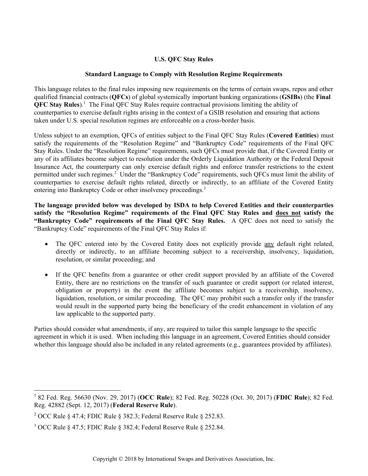# **U.S. QFC Stay Rules**

## **Standard Language to Comply with Resolution Regime Requirements**

This language relates to the final rules imposing new requirements on the terms of certain swaps, repos and other qualified financial contracts (**QFCs**) of global systemically important banking organizations (**GSIBs**) (the **Final QFC Stay Rules**).<sup>1</sup> The Final QFC Stay Rules require contractual provisions limiting the ability of counterparties to exercise default rights arising in the context of a GSIB resolution and ensuring that actions taken under U.S. special resolution regimes are enforceable on a cross-border basis.

Unless subject to an exemption, QFCs of entities subject to the Final QFC Stay Rules (**Covered Entities**) must satisfy the requirements of the "Resolution Regime" and "Bankruptcy Code" requirements of the Final QFC Stay Rules. Under the "Resolution Regime" requirements, such QFCs must provide that, if the Covered Entity or any of its affiliates become subject to resolution under the Orderly Liquidation Authority or the Federal Deposit Insurance Act, the counterparty can only exercise default rights and enforce transfer restrictions to the extent permitted under such regimes.<sup>2</sup> Under the "Bankruptcy Code" requirements, such QFCs must limit the ability of counterparties to exercise default rights related, directly or indirectly, to an affiliate of the Covered Entity entering into Bankruptcy Code or other insolvency proceedings.<sup>3</sup>

**The language provided below was developed by ISDA to help Covered Entities and their counterparties**  satisfy the "Resolution Regime" requirements of the Final QFC Stay Rules and does not satisfy the **"Bankruptcy Code" requirements of the Final QFC Stay Rules.** A QFC does not need to satisfy the "Bankruptcy Code" requirements of the Final QFC Stay Rules if:

- The QFC entered into by the Covered Entity does not explicitly provide any default right related, directly or indirectly, to an affiliate becoming subject to a receivership, insolvency, liquidation, resolution, or similar proceeding; and
- If the QFC benefits from a guarantee or other credit support provided by an affiliate of the Covered Entity, there are no restrictions on the transfer of such guarantee or credit support (or related interest, obligation or property) in the event the affiliate becomes subject to a receivership, insolvency, liquidation, resolution, or similar proceeding. The QFC may prohibit such a transfer only if the transfer would result in the supported party being the beneficiary of the credit enhancement in violation of any law applicable to the supported party.

Parties should consider what amendments, if any, are required to tailor this sample language to the specific agreement in which it is used. When including this language in an agreement, Covered Entities should consider whether this language should also be included in any related agreements (e.g., guarantees provided by affiliates).

 1 82 Fed. Reg. 56630 (Nov. 29, 2017) (**OCC Rule**); 82 Fed. Reg. 50228 (Oct. 30, 2017) (**FDIC Rule**); 82 Fed. Reg. 42882 (Sept. 12, 2017) (**Federal Reserve Rule**).

<sup>&</sup>lt;sup>2</sup> OCC Rule § 47.4; FDIC Rule § 382.3; Federal Reserve Rule § 252.83.

 $3$  OCC Rule § 47.5; FDIC Rule § 382.4; Federal Reserve Rule § 252.84.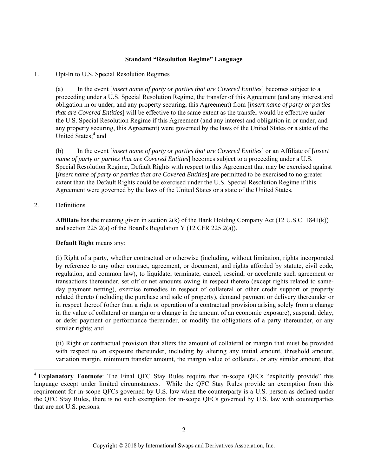### **Standard "Resolution Regime" Language**

#### 1. Opt-In to U.S. Special Resolution Regimes

(a) In the event [*insert name of party or parties that are Covered Entities*] becomes subject to a proceeding under a U.S. Special Resolution Regime, the transfer of this Agreement (and any interest and obligation in or under, and any property securing, this Agreement) from [*insert name of party or parties that are Covered Entities*] will be effective to the same extent as the transfer would be effective under the U.S. Special Resolution Regime if this Agreement (and any interest and obligation in or under, and any property securing, this Agreement) were governed by the laws of the United States or a state of the United States;<sup>4</sup> and

(b) In the event [*insert name of party or parties that are Covered Entities*] or an Affiliate of [*insert name of party or parties that are Covered Entities*] becomes subject to a proceeding under a U.S. Special Resolution Regime, Default Rights with respect to this Agreement that may be exercised against [*insert name of party or parties that are Covered Entities*] are permitted to be exercised to no greater extent than the Default Rights could be exercised under the U.S. Special Resolution Regime if this Agreement were governed by the laws of the United States or a state of the United States.

#### 2. Definitions

l

**Affiliate** has the meaning given in section 2(k) of the Bank Holding Company Act (12 U.S.C. 1841(k)) and section 225.2(a) of the Board's Regulation Y (12 CFR 225.2(a)).

#### **Default Right** means any:

(i) Right of a party, whether contractual or otherwise (including, without limitation, rights incorporated by reference to any other contract, agreement, or document, and rights afforded by statute, civil code, regulation, and common law), to liquidate, terminate, cancel, rescind, or accelerate such agreement or transactions thereunder, set off or net amounts owing in respect thereto (except rights related to sameday payment netting), exercise remedies in respect of collateral or other credit support or property related thereto (including the purchase and sale of property), demand payment or delivery thereunder or in respect thereof (other than a right or operation of a contractual provision arising solely from a change in the value of collateral or margin or a change in the amount of an economic exposure), suspend, delay, or defer payment or performance thereunder, or modify the obligations of a party thereunder, or any similar rights; and

(ii) Right or contractual provision that alters the amount of collateral or margin that must be provided with respect to an exposure thereunder, including by altering any initial amount, threshold amount, variation margin, minimum transfer amount, the margin value of collateral, or any similar amount, that

<sup>4</sup> **Explanatory Footnote**: The Final QFC Stay Rules require that in-scope QFCs "explicitly provide" this language except under limited circumstances. While the QFC Stay Rules provide an exemption from this requirement for in-scope QFCs governed by U.S. law when the counterparty is a U.S. person as defined under the QFC Stay Rules, there is no such exemption for in-scope QFCs governed by U.S. law with counterparties that are not U.S. persons.